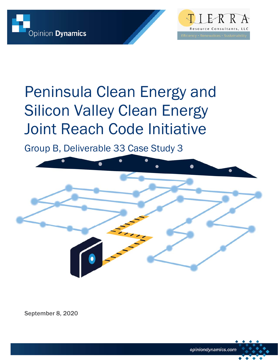



# Peninsula Clean Energy and Silicon Valley Clean Energy Joint Reach Code Initiative

Group B, Deliverable 33 Case Study 3



September 8, 2020

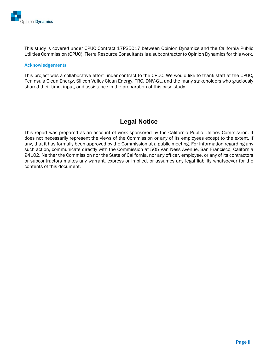

This study is covered under CPUC Contract 17PS5017 between Opinion Dynamics and the California Public Utilities Commission (CPUC). Tierra Resource Consultants is a subcontractor to Opinion Dynamics for this work.

#### Acknowledgements

This project was a collaborative effort under contract to the CPUC. We would like to thank staff at the CPUC, Peninsula Clean Energy, Silicon Valley Clean Energy, TRC, DNV-GL, and the many stakeholders who graciously shared their time, input, and assistance in the preparation of this case study.

### **Legal Notice**

This report was prepared as an account of work sponsored by the California Public Utilities Commission. It does not necessarily represent the views of the Commission or any of its employees except to the extent, if any, that it has formally been approved by the Commission at a public meeting. For information regarding any such action, communicate directly with the Commission at 505 Van Ness Avenue, San Francisco, California 94102. Neither the Commission nor the State of California, nor any officer, employee, or any of its contractors or subcontractors makes any warrant, express or implied, or assumes any legal liability whatsoever for the contents of this document.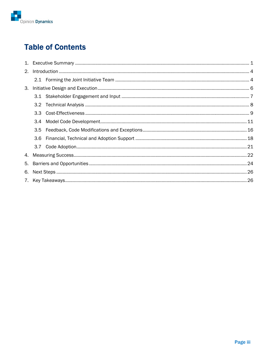

## **Table of Contents**

| 2.  |     |  |  |  |  |  |  |  |
|-----|-----|--|--|--|--|--|--|--|
|     |     |  |  |  |  |  |  |  |
| 3.  |     |  |  |  |  |  |  |  |
|     |     |  |  |  |  |  |  |  |
| 3.2 |     |  |  |  |  |  |  |  |
|     |     |  |  |  |  |  |  |  |
|     | 3.4 |  |  |  |  |  |  |  |
|     |     |  |  |  |  |  |  |  |
|     | 3.6 |  |  |  |  |  |  |  |
|     |     |  |  |  |  |  |  |  |
|     |     |  |  |  |  |  |  |  |
| 5.  |     |  |  |  |  |  |  |  |
| 6.  |     |  |  |  |  |  |  |  |
|     |     |  |  |  |  |  |  |  |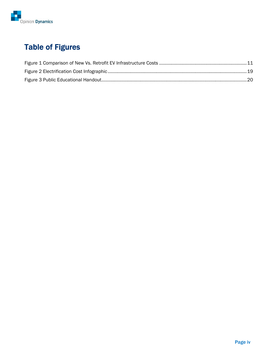

## Table of Figures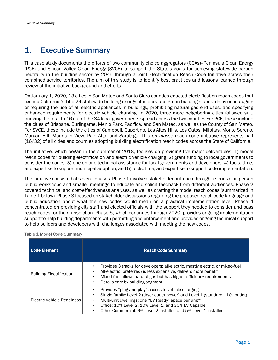## 1. Executive Summary

This case study documents the efforts of two community choice aggregators (CCAs)--Peninsula Clean Energy (PCE) and Silicon Valley Clean Energy (SVCE)--to support the State's goals for achieving statewide carbon neutrality in the building sector by 2045 through a Joint Electrification Reach Code Initiative across their combined service territories. The aim of this study is to identify best practices and lessons learned through review of the initiative background and efforts.

On January 1, 2020, 13 cities in San Mateo and Santa Clara counties enacted electrification reach codes that exceed California's Title 24 statewide building energy efficiency and green building standards by encouraging or requiring the use of all electric appliances in buildings, prohibiting natural gas end uses, and specifying enhanced requirements for electric vehicle charging. In 2020, three more neighboring cities followed suit, bringing the total to 16 out of the 34 local governments spread across the two counties For PCE, these include the cities of Brisbane, Burlingame, Menlo Park, Pacifica, and San Mateo, as well as the County of San Mateo. For SVCE, these include the cities of Campbell, Cupertino, Los Altos Hills, Los Gatos, Milpitas, Monte Sereno, Morgan Hill, Mountain View, Palo Alto, and Saratoga. This *en masse* reach code initiative represents half (16/32) of all cities and counties adopting building electrification reach codes across the State of California.

The initiative, which began in the summer of 2018, focuses on providing five major deliverables: 1) model reach codes for building electrification and electric vehicle charging; 2) grant funding to local governments to consider the codes; 3) one-on-one technical assistance for local governments and developers; 4) tools, time, and expertise to support municipal adoption; and 5) tools, time, and expertise to support code implementation.

The initiative consisted of several phases. Phase 1 involved stakeholder outreach through a series of in person public workshops and smaller meetings to educate and solicit feedback from different audiences. Phase 2 covered technical and cost-effectiveness analyses, as well as drafting the model reach codes (summarized in Table 1 below). Phase 3 focused on stakeholder discussions regarding the proposed reach code language and public education about what the new codes would mean on a practical implementation level. Phase 4 concentrated on providing city staff and elected officials with the support they needed to consider and pass reach codes for their jurisdiction. Phase 5, which continues through 2020, provides ongoing implementation support to help building departments with permitting and enforcement and provides ongoing technical support to help builders and developers with challenges associated with meeting the new codes.

| <b>Code Element</b>             | <b>Reach Code Summary</b>                                                                                                                                                                                                                                                                                                |
|---------------------------------|--------------------------------------------------------------------------------------------------------------------------------------------------------------------------------------------------------------------------------------------------------------------------------------------------------------------------|
| <b>Building Electrification</b> | Provides 3 tracks for developers: all-electric, mostly electric, or mixed-fuel<br>All-electric (preferred) is less expensive, delivers more benefit<br>Mixed-fuel allows natural gas but has higher efficiency requirements<br>Details vary by building segment                                                          |
| Electric Vehicle Readiness      | Provides "plug and play" access to vehicle charging<br>Single family: Level 2 (dryer outlet power) and Level 1 (standard 110v outlet)<br>Multi-unit dwellings: one "EV Ready" space per unit*<br>Office: 10% Level 2, 10% Level 1, and 30% EV Capable<br>Other Commercial: 6% Level 2 installed and 5% Level 1 installed |

#### Table 1 Model Code Summary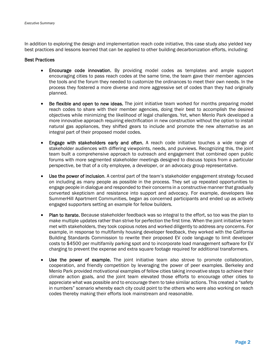In addition to exploring the design and implementation reach code initiative, this case study also yielded key best practices and lessons learned that can be applied to other building decarbonization efforts, including:

#### Best Practices

- Encourage code innovation. By providing model codes as templates and ample support encouraging cities to pass reach codes at the same time, the team gave their member agencies the tools and the forum they needed to customize the ordinances to meet their own needs. In the process they fostered a more diverse and more aggressive set of codes than they had originally planned.
- Be flexible and open to new ideas. The joint initiative team worked for months preparing model reach codes to share with their member agencies, doing their best to accomplish the desired objectives while minimizing the likelihood of legal challenges. Yet, when Menlo Park developed a more innovative approach requiring electrification in new construction without the option to install natural gas appliances, they shifted gears to include and promote the new alternative as an integral part of their proposed model codes.
- Engage with stakeholders early and often. A reach code initiative touches a wide range of stakeholder audiences with differing viewpoints, needs, and purviews. Recognizing this, the joint team built a comprehensive approach to outreach and engagement that combined open public forums with more segmented stakeholder meetings designed to discuss topics from a particular perspective, be that of a city employee, a developer, or an advocacy group representative.
- Use the power of inclusion. A central part of the team's stakeholder engagement strategy focused on including as many people as possible in the process. They set up repeated opportunities to engage people in dialogue and responded to their concerns in a constructive manner that gradually converted skepticism and resistance into support and advocacy. For example, developers like SummerHill Apartment Communities, began as concerned participants and ended up as actively engaged supporters setting an example for fellow builders.
- Plan to iterate. Because stakeholder feedback was so integral to the effort, so too was the plan to make multiple updates rather than strive for perfection the first time. When the joint initiative team met with stakeholders, they took copious notes and worked diligently to address any concerns. For example, in response to multifamily housing developer feedback, they worked with the California Building Standards Commission to rewrite their proposed EV code language to limit developer costs to \$4500 per multifamily parking spot and to incorporate load management software for EV charging to prevent the expense and extra square footage required for additional transformers.
- Use the power of example. The joint initiative team also strove to promote collaboration, cooperation, and friendly competition by leveraging the power of peer examples. Berkeley and Menlo Park provided motivational examples of fellow cities taking innovative steps to achieve their climate action goals, and the joint team elevated those efforts to encourage other cities to appreciate what was possible and to encourage them to take similar actions. This created a "safety in numbers" scenario whereby each city could point to the others who were also working on reach codes thereby making their efforts look mainstream and reasonable.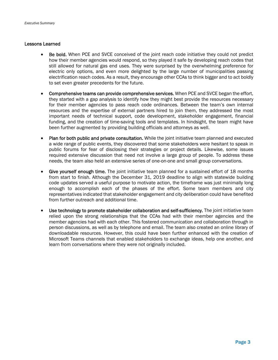#### Lessons Learned

- Be bold. When PCE and SVCE conceived of the joint reach code initiative they could not predict how their member agencies would respond, so they played it safe by developing reach codes that still allowed for natural gas end uses. They were surprised by the overwhelming preference for electric only options, and even more delighted by the large number of municipalities passing electrification reach codes. As a result, they encourage other CCAs to think bigger and to act boldly to set even greater precedents for the future.
- Comprehensive teams can provide comprehensive services. When PCE and SVCE began the effort, they started with a gap analysis to identify how they might best provide the resources necessary for their member agencies to pass reach code ordinances. Between the team's own internal resources and the expertise of external partners hired to join them, they addressed the most important needs of technical support, code development, stakeholder engagement, financial funding, and the creation of time-saving tools and templates. In hindsight, the team might have been further augmented by providing building officials and attorneys as well.
- Plan for both public and private consultation. While the joint initiative team planned and executed a wide range of public events, they discovered that some stakeholders were hesitant to speak in public forums for fear of disclosing their strategies or project details. Likewise, some issues required extensive discussion that need not involve a large group of people. To address these needs, the team also held an extensive series of one-on-one and small group conversations.
- Give yourself enough time. The joint initiative team planned for a sustained effort of 18 months from start to finish. Although the December 31, 2019 deadline to align with statewide building code updates served a useful purpose to motivate action, the timeframe was just minimally long enough to accomplish each of the phases of the effort. Some team members and city representatives indicated that stakeholder engagement and city deliberation could have benefited from further outreach and additional time.
- Use technology to promote stakeholder collaboration and self-sufficiency. The joint initiative team relied upon the strong relationships that the CCAs had with their member agencies and the member agencies had with each other. This fostered communication and collaboration through in person discussions, as well as by telephone and email. The team also created an online library of downloadable resources. However, this could have been further enhanced with the creation of Microsoft Teams channels that enabled stakeholders to exchange ideas, help one another, and learn from conversations where they were not originally included.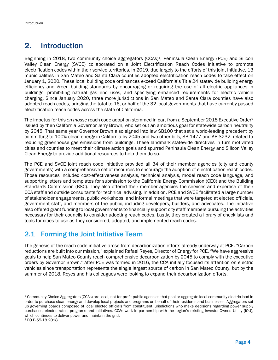## 2. Introduction

Beginning in 2018, two community choice aggregators (CCAs)<sup>1</sup>, Peninsula Clean Energy (PCE) and Silicon Valley Clean Energy (SVCE) collaborated on a Joint Electrification Reach Codes Initiative to promote electrification codes within their service territories. In 2019, due largely to the efforts of this joint initiative, 13 municipalities in San Mateo and Santa Clara counties adopted electrification reach codes to take effect on January 1, 2020. These local building code ordinances exceed California's Title 24 statewide building energy efficiency and green building standards by encouraging or requiring the use of all electric appliances in buildings, prohibiting natural gas end uses, and specifying enhanced requirements for electric vehicle charging. Since January 2020, three more jurisdictions in San Mateo and Santa Clara counties have also adopted reach codes, bringing the total to 16, or half of the 32 local governments that have currently passed electrification reach codes across the state of California.

The impetus for this *en masse* reach code adoption stemmed in part from a September 2018 Executive Order2 issued by then California Governor Jerry Brown, who set out an ambitious goal for statewide carbon neutrality by 2045. That same year Governor Brown also signed into law SB100 that set a world-leading precedent by committing to 100% clean energy in California by 2045 and two other bills, SB 1477 and AB 3232, related to reducing greenhouse gas emissions from buildings. These landmark statewide directives in turn motivated cities and counties to meet their climate action goals and spurred Peninsula Clean Energy and Silicon Valley Clean Energy to provide additional resources to help them do so.

The PCE and SVCE joint reach code initiative provided all 34 of their member agencies (city and county governments) with a comprehensive set of resources to encourage the adoption of electrification reach codes. Those resources included cost-effectiveness analysis, technical analysis, model reach code language, and supporting letters and templates for submission to the California Energy Commission (CEC) and the Building Standards Commission (BSC). They also offered their member agencies the services and expertise of their CCA staff and outside consultants for technical advising. In addition, PCE and SVCE facilitated a large number of stakeholder engagements, public workshops, and informal meetings that were targeted at elected officials, government staff, and members of the public, including developers, builders, and advocates. The initiative also offered grant funding to local governments to financially support city staff members pursuing the activities necessary for their councils to consider adopting reach codes. Lastly, they created a library of checklists and tools for cities to use as they considered, adopted, and implemented reach codes.

## 2.1 Forming the Joint Initiative Team

The genesis of the reach code initiative arose from decarbonization efforts already underway at PCE. "Carbon reductions are built into our mission," explained Rafael Reyes, Director of Energy for PCE. "We have aggressive goals to help San Mateo County reach comprehensive decarbonization by 2045 to comply with the executive orders by Governor Brown." After PCE was formed in 2016, the CCA initially focused its attention on electric vehicles since transportation represents the single largest source of carbon in San Mateo County, but by the summer of 2018, Reyes and his colleagues were looking to expand their decarbonization efforts.

<sup>1</sup> Community Choice Aggregators (CCAs) are local, not-for-profit public agencies that pool or aggregate local community electric load in order to purchase clean energy and develop local projects and programs on behalf of their residents and businesses. Aggregators set up governing boards composed of local elected officials from constituent jurisdictions who make decisions regarding power supply purchases, electric rates, programs and initiatives. CCAs work in partnership with the region's existing Investor-Owned Utility (IOU), which continues to deliver power and maintain the grid.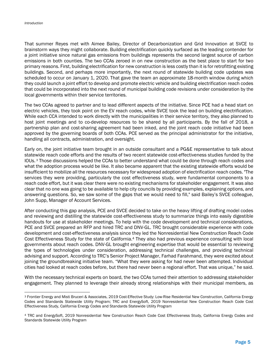That summer Reyes met with Aimee Bailey, Director of Decarbonization and Grid Innovation at SVCE to brainstorm ways they might collaborate. Building electrification quickly surfaced as the leading contender for a joint initiative since natural gas emissions from buildings represents the second largest source of carbon emissions in both counties. The two CCAs zeroed in on new construction as the best place to start for two primary reasons. First, building electrification for new construction is less costly than it is for retrofitting existing buildings. Second, and perhaps more importantly, the next round of statewide building code updates was scheduled to occur on January 1, 2020. That gave the team an approximate 18-month window during which they could launch a joint effort to develop and promote electric vehicle and building electrification reach codes that could be incorporated into the next round of municipal building code revisions under consideration by the local governments within their service territories.

The two CCAs agreed to partner and to lead different aspects of the initiative. Since PCE had a head start on electric vehicles, they took point on the EV reach codes, while SVCE took the lead on building electrification. While each CCA intended to work directly with the municipalities in their service territory, they also planned to host joint meetings and to co-develop resources to be shared by all participants. By the fall of 2018, a partnership plan and cost-sharing agreement had been inked, and the joint reach code initiative had been approved by the governing boards of both CCAs. PCE served as the principal administrator for the initiative, handling all contracts, administration, and oversight.

Early on, the joint initiative team brought in an outside consultant and a PG&E representative to talk about statewide reach code efforts and the results of two recent statewide cost-effectiveness studies funded by the IOUs. 3 Those discussions helped the CCAs to better understand what could be done through reach codes and what the adoption process would be like. It also became apparent that the existing statewide efforts would be insufficient to mobilize all the resources necessary for widespread adoption of electrification reach codes. "The services they were providing, particularly the cost effectiveness study, were fundamental components to a reach code effort, but it was clear there were no existing mechanisms for stakeholder engagement. It was also clear that no one was going to be available to help city councils by providing examples, explaining options, and answering questions. So, we saw some of the gaps that we would need to fill," said Bailey's SVCE colleague, John Supp, Manager of Account Services.

After conducting this gap analysis, PCE and SVCE decided to take on the heavy lifting of drafting model codes and reviewing and distilling the statewide cost-effectiveness study to summarize things into easily digestible handouts for use at stakeholder meetings. To help with the code development and technical considerations, PCE and SVCE prepared an RFP and hired TRC and DNV-GL. TRC brought considerable experience with code development and cost-effectiveness analysis since they led the Nonresidential New Construction Reach Code Cost Effectiveness Study for the state of California.4 They also had previous experience consulting with local governments about reach codes. DNV-GL brought engineering expertise that would be essential to reviewing the types of technologies under consideration, addressing technical challenges, and providing technical advising and support. According to TRC's Senior Project Manager, Farhad Farahmand, they were excited about joining the groundbreaking initiative team. "What they were asking for had never been attempted. Individual cities had looked at reach codes before, but there had never been a regional effort. That was unique," he said.

With the necessary technical experts on board, the two CCAs turned their attention to addressing stakeholder engagement. They planned to leverage their already strong relationships with their municipal members, as

<sup>3</sup> Frontier Energy and Misti Bruceri & Associates, 2019 Cost-Effective Study: Low-Rise Residential New Construction, California Energy Codes and Standards Statewide Utility Program; TRC and EnergySoft, 2019 Nonresidential New Construction Reach Code Cost Effectiveness Study, California Energy Codes and Standards Statewide Utility Program

<sup>4</sup> TRC and EnergySoft, 2019 Nonresidential New Construction Reach Code Cost Effectiveness Study, California Energy Codes and Standards Statewide Utility Program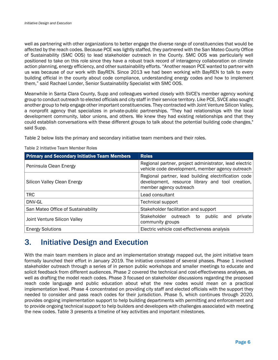well as partnering with other organizations to better engage the diverse range of constituencies that would be affected by the reach codes. Because PCE was lightly staffed, they partnered with the San Mateo County Office of Sustainability (SMC OOS) to lead stakeholder outreach in the County. SMC OOS was particularly well positioned to take on this role since they have a robust track record of interagency collaboration on climate action planning, energy efficiency, and other sustainability efforts. "Another reason PCE wanted to partner with us was because of our work with BayREN. Since 2013 we had been working with BayREN to talk to every building official in the county about code compliance, understanding energy codes and how to implement them," said Rachael Londer, Senior Sustainability Specialist with SMC OOS.

Meanwhile in Santa Clara County, Supp and colleagues worked closely with SVCE's member agency working group to conduct outreach to elected officials and city staff in their service territory. Like PCE, SVCE also sought another group to help engage other important constituencies. They contracted with Joint Venture Silicon Valley, a nonprofit agency that specializes in private-public partnerships. "They had relationships with the local development community, labor unions, and others. We knew they had existing relationships and that they could establish conversations with these different groups to talk about the potential building code changes," said Supp.

Table 2 below lists the primary and secondary initiative team members and their roles.

| <b>Primary and Secondary Initiative Team Members</b> | <b>Roles</b>                                                                                                                       |  |  |  |  |  |  |  |  |  |
|------------------------------------------------------|------------------------------------------------------------------------------------------------------------------------------------|--|--|--|--|--|--|--|--|--|
| Peninsula Clean Energy                               | Regional partner, project administrator, lead electric<br>vehicle code development, member agency outreach                         |  |  |  |  |  |  |  |  |  |
| Silicon Valley Clean Energy                          | Regional partner, lead building electrification code<br>development, resource library and tool creation,<br>member agency outreach |  |  |  |  |  |  |  |  |  |
| <b>TRC</b>                                           | Lead consultant                                                                                                                    |  |  |  |  |  |  |  |  |  |
| DNV-GL                                               | <b>Technical support</b>                                                                                                           |  |  |  |  |  |  |  |  |  |
| San Mateo Office of Sustainability                   | Stakeholder facilitation and support                                                                                               |  |  |  |  |  |  |  |  |  |
| Joint Venture Silicon Valley                         | Stakeholder outreach to<br>private<br>public and<br>community groups                                                               |  |  |  |  |  |  |  |  |  |
| <b>Energy Solutions</b>                              | Electric vehicle cost-effectiveness analysis                                                                                       |  |  |  |  |  |  |  |  |  |

#### Table 2 Initiative Team Member Roles

## 3. Initiative Design and Execution

With the main team members in place and an implementation strategy mapped out, the joint initiative team formally launched their effort in January 2019. The initiative consisted of several phases. Phase 1 involved stakeholder outreach through a series of in person public workshops and smaller meetings to educate and solicit feedback from different audiences. Phase 2 covered the technical and cost-effectiveness analyses, as well as drafting the model reach codes. Phase 3 focused on stakeholder discussions regarding the proposed reach code language and public education about what the new codes would mean on a practical implementation level. Phase 4 concentrated on providing city staff and elected officials with the support they needed to consider and pass reach codes for their jurisdiction. Phase 5, which continues through 2020, provides ongoing implementation support to help building departments with permitting and enforcement and to provide ongoing technical support to help builders and developers with challenges associated with meeting the new codes. Table 3 presents a timeline of key activities and important milestones.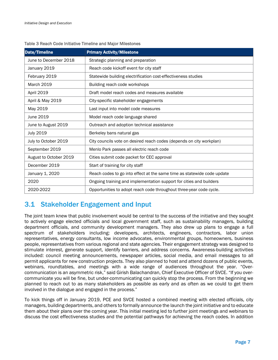| <b>Date/Timeline</b>   | <b>Primary Activity/Milestone</b>                                       |
|------------------------|-------------------------------------------------------------------------|
| June to December 2018  | Strategic planning and preparation                                      |
| January 2019           | Reach code kickoff event for city staff                                 |
| February 2019          | Statewide building electrification cost-effectiveness studies           |
| <b>March 2019</b>      | Building reach code workshops                                           |
| April 2019             | Draft model reach codes and measures available                          |
| April & May 2019       | City-specific stakeholder engagements                                   |
| May 2019               | Last input into model code measures                                     |
| June 2019              | Model reach code language shared                                        |
| June to August 2019    | Outreach and adoption technical assistance                              |
| <b>July 2019</b>       | Berkeley bans natural gas                                               |
| July to October 2019   | City councils vote on desired reach codes (depends on city workplan)    |
| September 2019         | Menlo Park passes all electric reach code                               |
| August to October 2019 | Cities submit code packet for CEC approval                              |
| December 2019          | Start of training for city staff                                        |
| January 1, 2020        | Reach codes to go into effect at the same time as statewide code update |
| 2020                   | Ongoing training and implementation support for cities and builders     |
| 2020-2022              | Opportunities to adopt reach code throughout three-year code cycle.     |

#### Table 3 Reach Code Initiative Timeline and Major Milestones

## 3.1 Stakeholder Engagement and Input

The joint team knew that public involvement would be central to the success of the initiative and they sought to actively engage elected officials and local government staff, such as sustainability managers, building department officials, and community development managers. They also drew up plans to engage a full spectrum of stakeholders including: developers, architects, engineers, contractors, labor union representatives, energy consultants, low income advocates, environmental groups, homeowners, business people, representatives from various regional and state agencies. Their engagement strategy was designed to stimulate interest, generate support, identify barriers, and address concerns. Awareness-building activities included: council meeting announcements, newspaper articles, social media, and email messages to all permit applicants for new construction projects. They also planned to host and attend dozens of public events, webinars, roundtables, and meetings with a wide range of audiences throughout the year. "Overcommunication is an asymmetric risk," said Girish Balachandran, Chief Executive Officer of SVCE. "If you overcommunicate you will be fine, but under-communicating can quickly stop the process. From the beginning we planned to reach out to as many stakeholders as possible as early and as often as we could to get them involved in the dialogue and engaged in the process."

To kick things off in January 2019, PCE and SVCE hosted a combined meeting with elected officials, city managers, building departments, and others to formally announce the launch the joint initiative and to educate them about their plans over the coming year. This initial meeting led to further joint meetings and webinars to discuss the cost effectiveness studies and the potential pathways for achieving the reach codes. In addition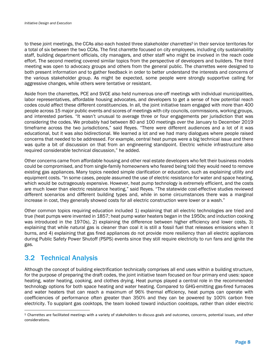to these joint meetings, the CCAs also each hosted three stakeholder charrettes<sup>5</sup> in their service territories for a total of six between the two CCAs. The first charrette focused on city employees, including city sustainability staff, building department officials, city managers, and other staff who might be involved in the reach code effort. The second meeting covered similar topics from the perspective of developers and builders. The third meeting was open to advocacy groups and others from the general public. The charrettes were designed to both present information and to gather feedback in order to better understand the interests and concerns of the various stakeholder group. As might be expected, some people were strongly supportive calling for aggressive changes, while others were tentative or resistant.

Aside from the charrettes, PCE and SVCE also held numerous one-off meetings with individual municipalities, labor representatives, affordable housing advocates, and developers to get a sense of how potential reach codes could affect these different constituencies. In all, the joint initiative team engaged with more than 400 people across 15 major public events and scores of meetings with city councils, commissions, working groups, and interested parties. "It wasn't unusual to average three or four engagements per jurisdiction that was considering the codes. We probably had between 80 and 100 meetings over the January to December 2019 timeframe across the two jurisdictions," said Reyes. "There were different audiences and a lot of it was educational, but it was also bidirectional. We learned a lot and we had many dialogues where people raised concerns that needed to be addressed. For example, central heat pumps were a big technical issue and there was quite a bit of discussion on that from an engineering standpoint. Electric vehicle infrastructure also required considerable technical discussion," he added.

Other concerns came from affordable housing and other real estate developers who felt their business models could be compromised, and from single-family homeowners who feared being told they would need to remove existing gas appliances. Many topics needed simple clarification or education, such as explaining utility and equipment costs. "In some cases, people assumed the use of electric resistance for water and space heating, which would be outrageously expensive. However, heat pump technology is extremely efficient, and the costs are much lower than electric resistance heating," said Reyes. "The statewide cost-effective studies reviewed different scenarios and different building types and, while in some circumstances there was a marginal increase in cost, they generally showed costs for all electric construction were lower or a wash."

Other common topics requiring education included 1) explaining that all electric technologies are tried and true (heat pumps were invented in 1857; heat pump water heaters began in the 1950s; and induction cooking was introduced in the 1970s), 2) explaining the difference between higher efficiency and lower costs, 3) explaining that while natural gas is cleaner than coal it is still a fossil fuel that releases emissions when it burns, and 4) explaining that gas fired appliances do not provide more resiliency than all electric appliances during Public Safety Power Shutoff (PSPS) events since they still require electricity to run fans and ignite the gas.

## 3.2 Technical Analysis

Although the concept of building electrification technically comprises all end uses within a building structure, for the purpose of preparing the draft codes, the joint initiative team focused on four primary end uses: space heating, water heating, cooking, and clothes drying. Heat pumps played a central role in the recommended technology options for both space heating and water heating. Compared to GHG-emitting gas-fired furnaces and water heaters that can reach a maximum of 96% thermal efficiency, heat pumps can operate with coefficiencies of performance often greater than 350% and they can be powered by 100% carbon free electricity. To supplant gas cooktops, the team looked toward induction cooktops, rather than older electric

<sup>5</sup> Charrettes are facilitated meetings with a variety of stakeholders to discuss goals and outcomes, concerns, potential issues, and other considerations.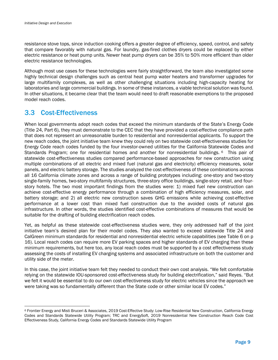resistance stove tops, since induction cooking offers a greater degree of efficiency, speed, control, and safety that compare favorably with natural gas. For laundry, gas-fired clothes dryers could be replaced by either electric resistance or heat pump units. Newer heat pump dryers can be 35% to 50% more efficient than older electric resistance technologies.

Although most use cases for these technologies were fairly straightforward, the team also investigated some highly technical design challenges such as central heat pump water heaters and transformer upgrades for large multifamily complexes, as well as other challenging situations including high-capacity heating for laboratories and large commercial buildings. In some of these instances, a viable technical solution was found. In other situations, it became clear that the team would need to draft reasonable exemptions to the proposed model reach codes.

## 3.3 Cost-Effectiveness

When local governments adopt reach codes that exceed the minimum standards of the State's Energy Code (Title 24, Part 6), they must demonstrate to the CEC that they have provided a cost-effective compliance path that does not represent an unreasonable burden to residential and nonresidential applicants. To support the new reach codes, the joint initiative team knew they could rely on two statewide cost-effectiveness studies for Energy Code reach codes funded by the four investor-owned utilities for the California Statewide Codes and Standards Program; one for residential homes and another for nonresidential buildings. 6 This pair of statewide cost-effectiveness studies compared performance-based approaches for new construction using multiple combinations of all electric and mixed fuel (natural gas and electricity) efficiency measures, solar panels, and electric battery storage. The studies analyzed the cost-effectiveness of these combinations across all 16 California climate zones and across a range of building prototypes including: one-story and two-story single-family homes, two-story multifamily structures, three-story office buildings, single-story retail, and fourstory hotels. The two most important findings from the studies were: 1) mixed fuel new construction can achieve cost-effective energy performance through a combination of high efficiency measures, solar, and battery storage; and 2) all electric new construction saves GHG emissions while achieving cost-effective performance at a lower cost than mixed fuel construction due to the avoided costs of natural gas infrastructure. In other words, the studies identified cost-effective combinations of measures that would be suitable for the drafting of building electrification reach codes.

Yet, as helpful as these statewide cost-effectiveness studies were, they only addressed half of the joint initiative team's desired plan for their model codes. They also wanted to exceed statewide Title 24 and CalGreen minimum standards for residential and nonresidential electric vehicle capabilities (see Table 6 on p 16). Local reach codes can require more EV parking spaces and higher standards of EV charging than these minimum requirements, but here too, any local reach codes must be supported by a cost effectiveness study assessing the costs of installing EV charging systems and associated infrastructure on both the customer and utility side of the meter.

In this case, the joint initiative team felt they needed to conduct their own cost analysis. "We felt comfortable relying on the statewide IOU-sponsored cost-effectiveness study for building electrification," said Reyes. "But we felt it would be essential to do our own cost-effectiveness study for electric vehicles since the approach we were taking was so fundamentally different than the State code or other similar local EV codes."

<sup>6</sup> Frontier Energy and Misti Bruceri & Associates, 2019 Cost-Effective Study: Low-Rise Residential New Construction, California Energy Codes and Standards Statewide Utility Program; TRC and EnergySoft, 2019 Nonresidential New Construction Reach Code Cost Effectiveness Study, California Energy Codes and Standards Statewide Utility Program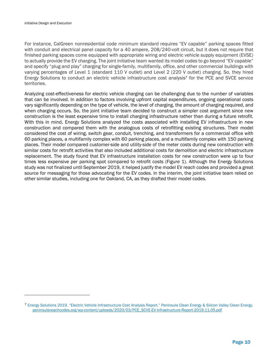For instance, CalGreen nonresidential code minimum standard requires "EV capable" parking spaces fitted with conduit and electrical panel capacity for a 40 ampere, 208/240-volt circuit, but it does not require that finished parking spaces come equipped with appropriate wiring and electric vehicle supply equipment (EVSE) to actually provide the EV charging. The joint initiative team wanted its model codes to go beyond "EV capable" and specify "plug and play" charging for single-family, multifamily, office, and other commercial buildings with varying percentages of Level 1 (standard 110 V outlet) and Level 2 (220 V outlet) charging. So, they hired Energy Solutions to conduct an electric vehicle infrastructure cost analysis7 for the PCE and SVCE service territories.

Analyzing cost-effectiveness for electric vehicle charging can be challenging due to the number of variables that can be involved. In addition to factors involving upfront capital expenditures, ongoing operational costs vary significantly depending on the type of vehicle, the level of charging, the amount of charging required, and when charging occurs. So, the joint initiative team decided to construct a simpler cost argument since new construction is the least expensive time to install charging infrastructure rather than during a future retrofit. With this in mind, Energy Solutions analyzed the costs associated with installing EV infrastructure in new construction and compared them with the analogous costs of retrofitting existing structures. Their model considered the cost of wiring, switch gear, conduit, trenching, and transformers for a commercial office with 60 parking places, a multifamily complex with 60 parking places, and a multifamily complex with 150 parking places. Their model compared customer-side and utility-side of the meter costs during new construction with similar costs for retrofit activities that also included additional costs for demolition and electric infrastructure replacement. The study found that EV infrastructure installation costs for new construction were up to four times less expensive per parking spot compared to retrofit costs (Figure 1). Although the Energy Solutions study was not finalized until September 2019, it helped justify the model EV reach codes and provided a great source for messaging for those advocating for the EV codes. In the interim, the joint initiative team relied on other similar studies, including one for Oakland, CA, as they drafted their model codes.

<sup>7</sup> Energy Solutions 2019. "Electric Vehicle Infrastructure Cost Analysis Report." Peninsula Clean Energy & Silicon Valley Clean Energy. peninsulareachcodes.org/wp-content/uploads/2020/03/PCE\_SCVE-EV-Infrastructure-Report-2019.11.05.pdf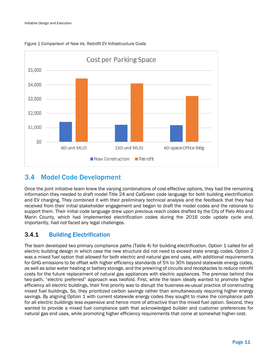

Figure 1 Comparison of New Vs. Retrofit EV Infrastructure Costs

## 3.4 Model Code Development

Once the joint initiative team knew the varying combinations of cost-effective options, they had the remaining information they needed to draft model Title 24 and CalGreen code language for both building electrification and EV charging. They combined it with their preliminary technical analysis and the feedback that they had received from their initial stakeholder engagement and began to draft the model codes and the rationale to support them. Their initial code language drew upon previous reach codes drafted by the City of Palo Alto and Marin County, which had implemented electrification codes during the 2016 code update cycle and, importantly, had not faced any legal challenges.

### 3.4.1 Building Electrification

The team developed two primary compliance paths (Table 4) for building electrification. Option 1 called for all electric building design in which case the new structure did not need to exceed state energy codes. Option 2 was a mixed fuel option that allowed for both electric and natural gas end uses, with additional requirements for GHG emissions to be offset with higher efficiency standards of 5% to 30% beyond statewide energy codes, as well as solar water heating or battery storage, and the prewiring of circuits and receptacles to reduce retrofit costs for the future replacement of natural gas appliances with electric appliances. The premise behind this two-path, "electric preferred" approach was twofold. First, while the team ideally wanted to promote higher efficiency all electric buildings, their first priority was to disrupt the business-as-usual practice of constructing mixed fuel buildings. So, they prioritized carbon savings rather than simultaneously requiring higher energy savings. By aligning Option 1 with current statewide energy codes they sought to make the compliance path for all electric buildings less expensive and hence more of attractive than the mixed fuel option. Second, they wanted to provide a mixed fuel compliance path that acknowledged builder and customer preferences for natural gas end uses, while promoting higher efficiency requirements that come at somewhat higher cost.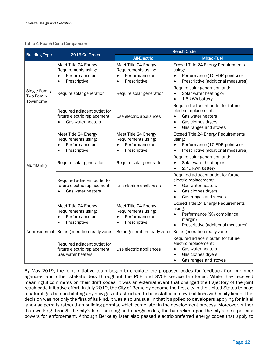#### Table 4 Reach Code Comparison

|                                         | 2019 CalGreen                                                                                           | <b>Reach Code</b>                                                                                       |                                                                                                                                                                         |  |  |  |  |  |  |  |
|-----------------------------------------|---------------------------------------------------------------------------------------------------------|---------------------------------------------------------------------------------------------------------|-------------------------------------------------------------------------------------------------------------------------------------------------------------------------|--|--|--|--|--|--|--|
| <b>Building Type</b>                    |                                                                                                         | <b>All-Electric</b>                                                                                     | <b>Mixed-Fuel</b>                                                                                                                                                       |  |  |  |  |  |  |  |
|                                         | Meet Title 24 Energy<br>Requirements using:<br>Performance or<br>$\bullet$<br>Prescriptive<br>$\bullet$ | Meet Title 24 Energy<br>Requirements using:<br>Performance or<br>$\bullet$<br>Prescriptive<br>$\bullet$ | Exceed Title 24 Energy Requirements<br>using:<br>Performance (10 EDR points) or<br>$\bullet$<br>Prescriptive (additional measures)<br>$\bullet$                         |  |  |  |  |  |  |  |
| Single-Family<br>Two-Family<br>Townhome | Require solar generation                                                                                | Require solar generation                                                                                | Require solar generation and:<br>Solar water heating or<br>$\bullet$<br>1.5 kWh battery<br>$\bullet$                                                                    |  |  |  |  |  |  |  |
|                                         | Required adjacent outlet for<br>future electric replacement:<br>Gas water heaters                       | Use electric appliances                                                                                 | Required adjacent outlet for future<br>electric replacement:<br>Gas water heaters<br>$\bullet$<br>Gas clothes dryers<br>$\bullet$<br>Gas ranges and stoves<br>$\bullet$ |  |  |  |  |  |  |  |
|                                         | Meet Title 24 Energy<br>Requirements using:<br>Performance or<br>$\bullet$<br>Prescriptive<br>$\bullet$ | Meet Title 24 Energy<br>Requirements using:<br>Performance or<br>$\bullet$<br>Prescriptive<br>$\bullet$ | Exceed Title 24 Energy Requirements<br>using:<br>Performance (10 EDR points) or<br>$\bullet$<br>Prescriptive (additional measures)                                      |  |  |  |  |  |  |  |
| Multifamily                             | Require solar generation                                                                                | Require solar generation                                                                                | Require solar generation and:<br>Solar water heating or<br>$\bullet$<br>2.75 kWh battery<br>$\bullet$                                                                   |  |  |  |  |  |  |  |
|                                         | Required adjacent outlet for<br>future electric replacement:<br>Gas water heaters                       | Use electric appliances                                                                                 | Required adjacent outlet for future<br>electric replacement:<br>Gas water heaters<br>$\bullet$<br>Gas clothes dryers<br>$\bullet$<br>Gas ranges and stoves<br>$\bullet$ |  |  |  |  |  |  |  |
|                                         | Meet Title 24 Energy<br>Requirements using:<br>Performance or<br>$\bullet$<br>Prescriptive<br>$\bullet$ | Meet Title 24 Energy<br>Requirements using:<br>Performance or<br>$\bullet$<br>Prescriptive<br>$\bullet$ | Exceed Title 24 Energy Requirements<br>using:<br>Performance (9% compliance<br>$\bullet$<br>margin)<br>Prescriptive (additional measures)                               |  |  |  |  |  |  |  |
| Nonresidential                          | Solar generation ready zone                                                                             | Solar generation ready zone                                                                             | Solar generation ready zone                                                                                                                                             |  |  |  |  |  |  |  |
|                                         | Required adjacent outlet for<br>future electric replacement:<br>Gas water heaters                       | Use electric appliances                                                                                 | Required adjacent outlet for future<br>electric replacement:<br>Gas water heaters<br>$\bullet$<br>Gas clothes dryers<br>$\bullet$<br>Gas ranges and stoves<br>$\bullet$ |  |  |  |  |  |  |  |

By May 2019, the joint initiative team began to circulate the proposed codes for feedback from member agencies and other stakeholders throughout the PCE and SVCE service territories. While they received meaningful comments on their draft codes, it was an external event that changed the trajectory of the joint reach code initiative effort. In July 2019, the City of Berkeley became the first city in the United States to pass a natural gas ban prohibiting any new gas infrastructure to be installed in new buildings within city limits. This decision was not only the first of its kind, it was also unusual in that it applied to developers applying for initial land-use permits rather than building permits, which come later in the development process. Moreover, rather than working through the city's local building and energy codes, the ban relied upon the city's local policing powers for enforcement. Although Berkeley later also passed electric-preferred energy codes that apply to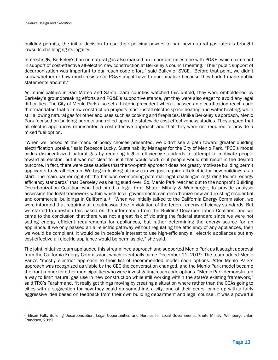building permits, the initial decision to use their policing powers to ban new natural gas laterals brought lawsuits challenging its legality.

Interestingly, Berkeley's ban on natural gas also marked an important milestone with PG&E, which came out in support of cost-effective all-electric new construction at Berkeley's council meeting. "Their public support of decarbonization was important to our reach code effort," said Bailey of SVCE. "Before that point, we didn't know whether or how much resistance PG&E might have to our initiative because they hadn't made public statements about it."

As municipalities in San Mateo and Santa Clara counties watched this unfold, they were emboldened by Berkeley's groundbreaking efforts and PG&E's supportive stance, yet they were also eager to avoid any legal difficulties. The City of Menlo Park also set a historic precedent when it passed an electrification reach code that mandated that all new construction projects must install electric space heating and water heating, while still allowing natural gas for other end uses such as cooking and fireplaces. Unlike Berkeley's approach, Menlo Park focused on building permits and relied upon the statewide cost-effectiveness studies. They argued that all electric appliances represented a cost-effective approach and that they were not required to provide a mixed fuel option.

"When we looked at the menu of policy choices presented, we didn't see a path toward greater building electrification uptake," said Rebecca Lucky, Sustainability Manager for the City of Menlo Park. "PCE's model codes disincentivized natural gas by requiring higher efficiency standards to attempt to motivate people toward all electric, but it was not clear to us if that would work or if people would still result in the desired outcome. In fact, there were case studies that the two-path approach does not greatly motivate building permit applicants to go all electric. We began looking at how can we just require all-electric for new buildings as a start. The main barrier right off the bat was overcoming potential legal challenges regarding federal energy efficiency standards" that Berkeley was being sued over. So, Menlo Park reached out to the nonprofit Building Decarbonization Coalition who had hired a legal firm, Shute, Mihaly & Weinberger, to provide analysis assessing the legal framework within which local governments can decarbonize new and existing residential and commercial buildings in California. <sup>8</sup> "When we initially talked to the California Energy Commission, we were informed that requiring all electric would be in violation of the federal energy efficiency standards. But we started to question this based on the information from the Building Decarbonization Coalition, and we came to the conclusion that there was not a great risk of violating the federal standard since we were not setting energy efficient requirements for appliances, but rather determining the energy source for an appliance. If we only passed an all-electric pathway without regulating the efficiency of any appliances, then we would be compliant. It would be in people's interest to use high-efficiency all electric appliances but any cost-effective all electric appliance would be permissible," she said.

The joint initiative team applauded this streamlined approach and supported Menlo Park as it sought approval from the California Energy Commission, which eventually came December 11, 2019. The team added Menlo Park's "mostly electric" approach to their list of recommended model code options. After Menlo Park's approach was recognized as viable by the CEC the conversation changed, and the Menlo Park model became the front runner for other municipalities who were investigating reach code options. "Menlo Park demonstrated a way to limit natural gas use in new construction while still working within the state's existing framework," said TRC's Farahmand. "It really got things moving by creating a situation where rather than the CCAs going to cities with a suggestion for how they could do something, a city, one of their peers, came up with a fairly aggressive idea based on feedback from their own building department and legal counsel. It was a powerful

<sup>8</sup> Elison Folk, Building Decarbonization: Legal Opportunities and Hurdles for Local Governments, Shute Mihaly, Weinberger, San Francisco, 2019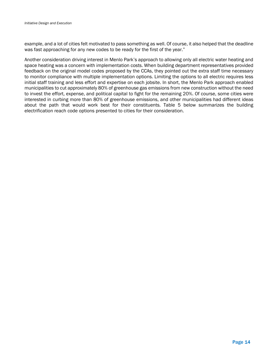example, and a lot of cities felt motivated to pass something as well. Of course, it also helped that the deadline was fast approaching for any new codes to be ready for the first of the year."

Another consideration driving interest in Menlo Park's approach to allowing only all electric water heating and space heating was a concern with implementation costs. When building department representatives provided feedback on the original model codes proposed by the CCAs, they pointed out the extra staff time necessary to monitor compliance with multiple implementation options. Limiting the options to all electric requires less initial staff training and less effort and expertise on each jobsite. In short, the Menlo Park approach enabled municipalities to cut approximately 80% of greenhouse gas emissions from new construction without the need to invest the effort, expense, and political capital to fight for the remaining 20%. Of course, some cities were interested in curbing more than 80% of greenhouse emissions, and other municipalities had different ideas about the path that would work best for their constituents. Table 5 below summarizes the building electrification reach code options presented to cities for their consideration.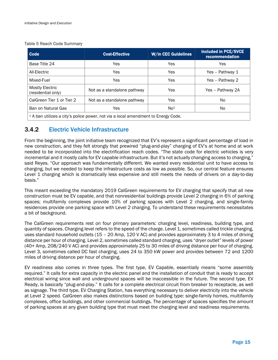#### Table 5 Reach Code Summary

| Code                                                                                         | <b>Cost-Effective</b>       | <b>W/in CEC Guidelines</b> | <b>Included in PCE/SVCE</b><br>recommendation |  |  |  |  |  |  |  |
|----------------------------------------------------------------------------------------------|-----------------------------|----------------------------|-----------------------------------------------|--|--|--|--|--|--|--|
| Base Title 24                                                                                | Yes                         | Yes                        | Yes                                           |  |  |  |  |  |  |  |
| All-Electric                                                                                 | Yes                         | Yes                        | Yes - Pathway 1                               |  |  |  |  |  |  |  |
| Mixed-Fuel                                                                                   | Yes                         | Yes                        | Yes - Pathway 2                               |  |  |  |  |  |  |  |
| <b>Mostly Electric</b><br>(residential only)                                                 | Not as a standalone pathway | Yes                        | Yes - Pathway 2A                              |  |  |  |  |  |  |  |
| CalGreen Tier 1 or Tier 2                                                                    | Not as a standalone pathway | Yes                        | No.                                           |  |  |  |  |  |  |  |
| Ban on Natural Gas                                                                           | Yes                         | No <sup>1</sup>            | No.                                           |  |  |  |  |  |  |  |
| <sup>1</sup> A ban utilizes a city's police power, not via a local amendment to Energy Code. |                             |                            |                                               |  |  |  |  |  |  |  |

### 3.4.2 Electric Vehicle Infrastructure

From the beginning, the joint initiative team recognized that EV's represent a significant percentage of load in new construction, and they felt strongly that prewired "plug-and-play" charging of EV's at home and at work needed to be incorporated into the electrification reach codes. "The state code for electric vehicles is very incremental and it mostly calls for EV capable infrastructure. But it's not actually changing access to charging," said Reyes. "Our approach was fundamentally different. We wanted every residential unit to have access to charging, but we needed to keep the infrastructure costs as low as possible. So, our central feature ensures Level 1 charging which is dramatically less expensive and still meets the needs of drivers on a day-to-day basis."

This meant exceeding the mandatory 2019 CalGreen requirements for EV charging that specify that all new construction must be EV capable, and that nonresidential buildings provide Level 2 charging in 6% of parking spaces; multifamily complexes provide 10% of parking spaces with Level 2 charging, and single-family residences provide one parking space with Level 2 charging. To understand these requirements necessitates a bit of background.

The CalGreen requirements rest on four primary parameters: charging level, readiness, building type, and quantity of spaces. Charging level refers to the speed of the charge. Level 1, sometimes called trickle charging, uses standard household outlets (15 – 20 Amp, 120 V AC) and provides approximately 3 to 4 miles of driving distance per hour of charging. Level 2, sometimes called standard charging, uses "dryer outlet" levels of power (40+ Amp, 208/240 V AC) and provides approximately 25 to 30 miles of driving distance per hour of charging. Level 3, sometimes called DC fast charging, uses 24 to 350 kW power and provides between 72 and 1200 miles of driving distance per hour of charging.

EV readiness also comes in three types. The first type, EV Capable, essentially means "some assembly required." It calls for extra capacity in the electric panel and the installation of conduit that is ready to accept electrical wiring since wall and underground spaces will be inaccessible in the future. The second type, EV Ready, is basically "plug-and-play." It calls for a complete electrical circuit from breaker to receptacle, as well as signage. The third type, EV Charging Station, has everything necessary to deliver electricity into the vehicle at Level 2 speed. CalGreen also makes distinctions based on building type: single-family homes, multifamily complexes, office buildings, and other commercial buildings. The percentage of spaces specifies the amount of parking spaces at any given building type that must meet the charging level and readiness requirements.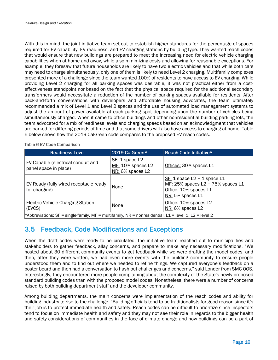With this in mind, the joint initiative team set out to establish higher standards for the percentage of spaces required for EV capability, EV readiness, and EV charging stations by building type. They wanted reach codes that would ensure that new buildings are prepared to meet the increasing need for electric vehicle charging capabilities when at home and away, while also minimizing costs and allowing for reasonable exceptions. For example, they foresaw that future households are likely to have two electric vehicles and that while both cars may need to charge simultaneously, only one of them is likely to need Level 2 charging. Multifamily complexes presented more of a challenge since the team wanted 100% of residents to have access to EV charging. While providing Level 2 charging for all parking spaces was desirable, it was not practical either from a costeffectiveness standpoint nor based on the fact that the physical space required for the additional secondary transformers would necessitate a reduction of the number of parking spaces available for residents. After back-and-forth conversations with developers and affordable housing advocates, the team ultimately recommended a mix of Level 1 and Level 2 spaces and the use of automated load management systems to adjust the amount of power available at each parking spot depending upon the number of vehicles being simultaneously charged. When it came to office buildings and other nonresidential building parking lots, the team advocated for a mix of readiness levels and charging speeds based on an acknowledgment that vehicles are parked for differing periods of time and that some drivers will also have access to charging at home. Table 6 below shows how the 2019 CalGreen code compares to the proposed EV reach codes.

| <b>Readiness Level</b>                                                                                | 2019 CalGreen*                                             | Reach Code Initiative*                                                                                              |  |  |  |  |  |  |  |
|-------------------------------------------------------------------------------------------------------|------------------------------------------------------------|---------------------------------------------------------------------------------------------------------------------|--|--|--|--|--|--|--|
| EV Capable (electrical conduit and<br>panel space in place)                                           | SF: 1 space L2<br>$MF: 10\%$ spaces L2<br>NR: 6% spaces L2 | Offices: 30% spaces L1                                                                                              |  |  |  |  |  |  |  |
| EV Ready (fully wired receptacle ready<br>for charging)                                               | None                                                       | $SF: 1$ space $L2 + 1$ space $L1$<br>MF: 25% spaces L2 + 75% spaces L1<br>Office: 10% spaces L1<br>NR: 5% spaces L1 |  |  |  |  |  |  |  |
| <b>Electric Vehicle Charging Station</b><br>(EVCS)                                                    | None                                                       | Office: 10% spaces L2<br>NR: 6% spaces L2                                                                           |  |  |  |  |  |  |  |
| *Abbreviations: SF = single-family, MF = multifamily, NR = nonresidential, L1 = level 1, L2 = level 2 |                                                            |                                                                                                                     |  |  |  |  |  |  |  |

#### Table 6 EV Code Comparison

## 3.5 Feedback, Code Modifications and Exceptions

When the draft codes were ready to be circulated, the initiative team reached out to municipalities and stakeholders to gather feedback, allay concerns, and prepare to make any necessary modifications. "We hosted about 30 different community events to get feedback while we were drafting the model codes, and then, after they were written, we had even more events with the building community to ensure people understood them and to find out where we needed to refine things. We captured everyone's feedback on a poster board and then had a conversation to hash out challenges and concerns," said Londer from SMC OOS. Interestingly, they encountered more people complaining about the complexity of the State's newly proposed standard building codes than with the proposed model codes. Nonetheless, there were a number of concerns raised by both building department staff and the developer community.

Among building departments, the main concerns were implementation of the reach codes and ability for building industry to rise to the challenge. "Building officials tend to be traditionalists for good reason since it's their job is to protect immediate health and safety. Reach codes can be difficult to prioritize since inspectors tend to focus on immediate health and safety and they may not see their role in regards to the bigger health and safety considerations of communities in the face of climate change and how buildings can be a part of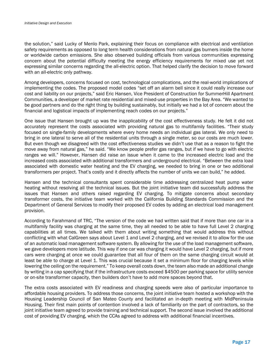the solution," said Lucky of Menlo Park, explaining their focus on compliance with electrical and ventilation safety requirements as opposed to long term health considerations from natural gas burners inside the home or worldwide carbon emissions. She also observed building officials from various communities expressing concern about the potential difficulty meeting the energy efficiency requirements for mixed use yet not expressing similar concerns regarding the all-electric option. That helped clarify the decision to move forward with an all-electric only pathway.

Among developers, concerns focused on cost, technological complications, and the real-world implications of implementing the codes. The proposed model codes "set off an alarm bell since it could really increase our cost and liability on our projects," said Eric Hansen, Vice President of Construction for SummerHill Apartment Communities, a developer of market rate residential and mixed-use properties in the Bay Area. "We wanted to be good partners and do the right thing by building sustainably, but initially we had a lot of concern about the financial and logistical impacts of implementing reach codes on our projects."

One issue that Hansen brought up was the inapplicability of the cost effectiveness study. He felt it did not accurately represent the costs associated with providing natural gas to multifamily facilities. "Their study focused on single-family developments where every home needs an individual gas lateral. We only need to bring in one lateral to serve all of the residential units through a single meter, so our costs are much lower. But even though we disagreed with the cost effectiveness studies we didn't use that as a reason to fight the move away from natural gas," he said. "We know people prefer gas ranges, but if we have to go with electric ranges we will." However, Hansen did raise an issue when it came to the increased electric load and the increased costs associated with additional transformers and underground electrical. "Between the extra load associated with domestic water heating and the EV charging, we needed to bring in one or two additional transformers per project. That's costly and it directly affects the number of units we can build," he added.

Hansen and the technical consultants spent considerable time addressing centralized heat pump water heating without resolving all the technical issues. But the joint initiative team did successfully address the issues that Hansen and others raised regarding EV charging. To mitigate concerns about secondary transformer costs, the initiative team worked with the California Building Standards Commission and the Department of General Services to modify their proposed EV codes by adding an electrical load management provision.

According to Farahmand of TRC, "The version of the code we had written said that if more than one car in a multifamily facility was charging at the same time, they all needed to be able to have full Level 2 charging capabilities at all times. We talked with them about writing something that would address this without conflicting with what CalGreen says about Level 1 and Level 2 charging, and we revised it to allow for the use of an automatic load management software system. By allowing for the use of the load management software, we gave developers more latitude. This way if one car was charging it would have Level 2 charging, but if more cars were charging at once we could guarantee that all four of them on the same charging circuit would at least be able to charge at Level 1. This was crucial because it set a minimum floor for charging levels while lowering the ceiling on the requirement." To keep overall costs down, the team also made an additional change by writing in a cap specifying that if the infrastructure costs exceed \$4500 per parking space for utility service or on-site transformer capacity, then builders don't have to add more spaces beyond that.

The extra costs associated with EV readiness and charging speeds were also of particular importance to affordable housing providers. To address those concerns, the joint initiative team hosted a workshop with the Housing Leadership Council of San Mateo County and facilitated an in-depth meeting with MidPeninsula Housing. Their first main points of contention involved a lack of familiarity on the part of contractors, so the joint initiative team agreed to provide training and technical support. The second issue involved the additional cost of providing EV charging, which the CCAs agreed to address with additional financial incentives.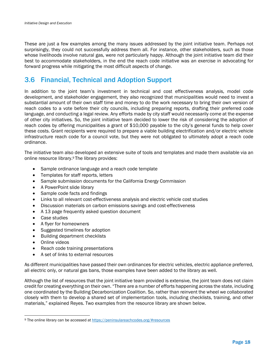These are just a few examples among the many issues addressed by the joint initiative team. Perhaps not surprisingly, they could not successfully address them all. For instance, other stakeholders, such as those whose livelihoods involve natural gas, were not particularly happy. Although the joint initiative team did their best to accommodate stakeholders, in the end the reach code initiative was an exercise in advocating for forward progress while mitigating the most difficult aspects of change.

## 3.6 Financial, Technical and Adoption Support

In addition to the joint team's investment in technical and cost effectiveness analysis, model code development, and stakeholder engagement, they also recognized that municipalities would need to invest a substantial amount of their own staff time and money to do the work necessary to bring their own version of reach codes to a vote before their city councils, including preparing reports, drafting their preferred code language, and conducting a legal review. Any efforts made by city staff would necessarily come at the expense of other city initiatives. So, the joint initiative team decided to lower the risk of considering the adoption of reach codes by offering municipalities a grant of \$10,000 payable to the city's general funds to help cover these costs. Grant recipients were required to prepare a viable building electrification and/or electric vehicle infrastructure reach code for a council vote, but they were not obligated to ultimately adopt a reach code ordinance.

The initiative team also developed an extensive suite of tools and templates and made them available via an online resource library.9 The library provides:

- Sample ordinance language and a reach code template
- Templates for staff reports, letters
- Sample submission documents for the California Energy Commission
- A PowerPoint slide library
- Sample code facts and findings
- Links to all relevant cost-effectiveness analysis and electric vehicle cost studies
- Discussion materials on carbon emissions savings and cost-effectiveness
- A 13 page frequently asked question document
- Case studies
- A flyer for homeowners
- Suggested timelines for adoption
- Building department checklists
- Online videos
- Reach code training presentations
- A set of links to external resources

As different municipalities have passed their own ordinances for electric vehicles, electric appliance preferred, all electric only, or natural gas bans, those examples have been added to the library as well.

Although the list of resources that the joint initiative team provided is extensive, the joint team does not claim credit for creating everything on their own. "There are a number of efforts happening across the state, including one coordinated by the Building Decarbonization Coalition. So, rather than reinvent the wheel we collaborated closely with them to develop a shared set of implementation tools, including checklists, training, and other materials," explained Reyes. Two examples from the resource library are shown below.

<sup>9</sup> The online library can be accessed at https://peninsulareachcodes.org/#resources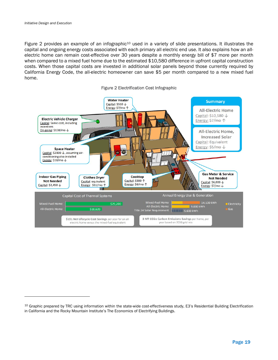Figure 2 provides an example of an infographic<sup>10</sup> used in a variety of slide presentations. It illustrates the capital and ongoing energy costs associated with each primary all electric end use. It also explains how an allelectric home can remain cost-effective over 30 years despite a monthly energy bill of \$7 more per month when compared to a mixed fuel home due to the estimated \$10,580 difference in upfront capital construction costs. When those capital costs are invested in additional solar panels beyond those currently required by California Energy Code, the all-electric homeowner can save \$5 per month compared to a new mixed fuel home.





<sup>10</sup> Graphic prepared by TRC using information within the state-wide cost-effectiveness study, E3's Residential Building Electrification in California and the Rocky Mountain Institute's The Economics of Electrifying Buildings.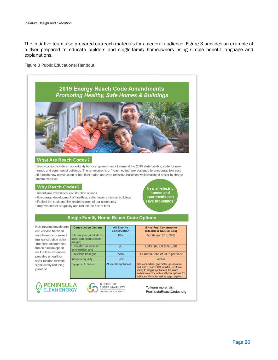The initiative team also prepared outreach materials for a general audience. Figure 3 provides an example of a flyer prepared to educate builders and single-family homeowners using simple benefit language and explanations.

#### Figure 3 Public Educational Handout



#### **What Are Reach Codes?**

Reach codes provide an opportunity for local governments to amend the 2019 state building code for new homes and commercial buildings. The amendments or "reach codes" are designed to encourage low-cost all-electric new construction of healthier, safer, and zero emission buildings while making it easier to charge electric vehicles.

#### **Why Reach Codes?**

- · Incentivize lowest-cost construction options
- · Encourage development of healthier, safer, lower emission buildings
- · Reflect the sustainability-related values of our community
- . Improve indoor air quality and reduce the risk of fires

New all-electric homes and apartments can<br>ave thousands!

#### **Single Family Home Reach Code Options**

Builders and developers can choose between an all-electric or mixed fuel construction option. The code encourages the all-electric option as it is less expensive, provides a healthier. safer residence while significantly reducing pollution.

| <b>Construction Options</b>                                    | <b>All-Electric</b><br><b>Construction</b> | <b>Mixed Fuel Construction</b><br>(Electric & Natural Gas)                                                                                                                                                                  |
|----------------------------------------------------------------|--------------------------------------------|-----------------------------------------------------------------------------------------------------------------------------------------------------------------------------------------------------------------------------|
| Efficiency required above<br>state code (compliance<br>margin) | 0%                                         | Additional 17 to 29%                                                                                                                                                                                                        |
| Estimated increase in<br>construction cost                     | \$0                                        | Extra \$6,800 to \$7,000                                                                                                                                                                                                    |
| Emissions from gas                                             | Zero                                       | 4+ metric tons of CO2 per year                                                                                                                                                                                              |
| Indoor air quality                                             | <b>Best</b>                                | Worse                                                                                                                                                                                                                       |
| Equipment utilized                                             | All electric appliances                    | Gas connection, gas meter, gas furnace<br>and water heater, CO monitor, electrical<br>wiring to all gas appliances for future<br>switch to electric with additional options for<br>additional PV/solar and storage required |





To learn more, visit PeninsulaReachCodes.org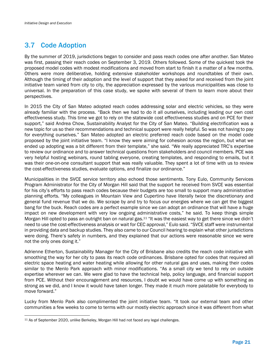## 3.7 Code Adoption

By the summer of 2019, jurisdictions began to consider and pass reach codes one after another. San Mateo was first, passing their reach codes on September 3, 2019. Others followed. Some of the quickest took the proposed model codes with modest modifications and moved from start to finish it a matter of a few months. Others were more deliberative, holding extensive stakeholder workshops and roundtables of their own. Although the timing of their adoption and the level of support that they asked for and received from the joint initiative team varied from city to city, the appreciation expressed by the various municipalities was close to universal. In the preparation of this case study, we spoke with several of them to learn more about their perspectives.

In 2015 the City of San Mateo adopted reach codes addressing solar and electric vehicles, so they were already familiar with the process. "Back then we had to do it all ourselves, including leading our own cost effectiveness study. This time we got to rely on the statewide cost effectiveness studies and on PCE for their support," said Andrea Chow, Sustainability Analyst for the City of San Mateo. "Building electrification was a new topic for us so their recommendations and technical support were really helpful. So was not having to pay for everything ourselves." San Mateo adopted an electric preferred reach code based on the model code proposed by the joint initiative team. "I know they were aiming for cohesion across the region, but what we ended up adopting was a bit different from their template," she said. "We really appreciated TRC's expertise to review our ordinance and to answer technical questions from stakeholders and council members. PCE was very helpful hosting webinars, round tabling everyone, creating templates, and responding to emails, but it was their one-on-one consultant support that was really valuable. They spent a lot of time with us to review the cost-effectiveness studies, evaluate options, and finalize our ordinance."

Municipalities in the SVCE service territory also echoed those sentiments. Tony Eulo, Community Services Program Administrator for the City of Morgan Hill said that the support he received from SVCE was essential for his city's efforts to pass reach codes because their budgets are too small to support many administrative planning efforts. "My colleagues in Mountain View and Cupertino have literally twice the discretionary and general fund revenue that we do. We scrape by and try to focus our energies where we can get the biggest bang for the buck. Reach codes are a perfect example since we can adopt an ordinance that will have a huge impact on new development with very low ongoing administrative costs," he said. To keep things simple Morgan Hill opted to pass an outright ban on natural gas.<sup>11</sup> "It was the easiest way to get there since we didn't need to use the cost-effectiveness analysis or wait for CEC approval," Eulo said. "SVCE staff were instrumental in providing data and backup studies. They also came to our Council hearing to explain what other jurisdictions were doing. There's safety in numbers, and they explained that our actions were reasonable since we were not the only ones doing it."

Adrienne Etherton, Sustainability Manager for the City of Brisbane also credits the reach code initiative with smoothing the way for her city to pass its reach code ordinances. Brisbane opted for codes that required all electric space heating and water heating while allowing for other natural gas and uses, making their codes similar to the Menlo Park approach with minor modifications. "As a small city we tend to rely on outside expertise wherever we can. We were glad to have the technical help, policy language, and financial support from PCE. Without their encouragement and resources, I doubt we would have come up with something as strong as we did, and I know it would have taken longer. They made it much more palatable for everybody to move forward."

Lucky from Menlo Park also complimented the joint initiative team. "It took our external team and other communities a few weeks to come to terms with our mostly electric approach since it was different from what

<sup>11</sup> As of September 2020, unlike Berkeley, Morgan Hill had not faced any legal challenges.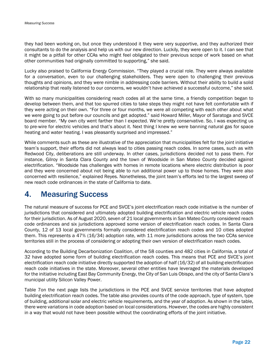they had been working on, but once they understood it they were very supportive, and they authorized their consultants to do the analysis and help us with our new direction. Luckily, they were open to it. I can see that it might be a pitfall for other CCAs who might feel obligated to their previous scope of work based on what other communities had originally committed to supporting," she said.

Lucky also praised to California Energy Commission. "They played a crucial role. They were always available for a conversation, even to our challenging stakeholders. They were open to challenging their previous thoughts and opinions, and they were nimble in addressing code barriers. Without their ability to build a solid relationship that really listened to our concerns, we wouldn't have achieved a successful outcome," she said.

With so many municipalities considering reach codes all at the same time, a friendly competition began to develop between them, and that too spurred cities to take steps they might not have felt comfortable with if they were acting on their own. "For three or four months, we were all competing with each other about what we were going to put before our councils and get adopted." said Howard Miller, Mayor of Saratoga and SVCE board member. "My own city went farther than I expected. We're pretty conservative. So, I was expecting us to pre-wire for electric vehicles and that's about it. Next thing I knew we were banning natural gas for space heating and water heating. I was pleasantly surprised and impressed."

While comments such as these are illustrative of the appreciation that municipalities felt for the joint initiative team's support, their efforts did not always lead to cities passing reach codes. In some cases, such as with Redwood City, deliberations are still underway. In other cases, jurisdictions decided not to pass them. For instance, Gilroy in Santa Clara County and the town of Woodside in San Mateo County decided against electrification. "Woodside has challenges with homes in remote locations where electric distribution is poor and they were concerned about not being able to run additional power up to those homes. They were also concerned with resilience," explained Reyes. Nonetheless, the joint team's efforts led to the largest sweep of new reach code ordinances in the state of California to date.

## 4. Measuring Success

The natural measure of success for PCE and SVCE's joint electrification reach code initiative is the number of jurisdictions that considered and ultimately adopted building electrification and electric vehicle reach codes for their jurisdiction. As of August 2020, seven of 21 local governments in San Mateo County considered reach code ordinances and six jurisdictions approved some version of electrification reach codes. In Santa Clara County, 12 of 13 local governments formally considered electrification reach codes and 10 cities adopted them. This represents a 47% (16/34) adoption rate, with 11 more jurisdictions across the two CCAs service territories still in the process of considering or adopting their own version of electrification reach codes.

According to the Building Decarbonization Coalition, of the 58 counties and 482 cities in California, a total of 32 have adopted some form of building electrification reach codes. This means that PCE and SVCE's joint electrification reach code initiative directly supported the adoption of half (16/32) of all building electrification reach code initiatives in the state. Moreover, several other entities have leveraged the materials developed for the initiative including East Bay Community Energy, the City of San Luis Obispo, and the city of Santa Clara's municipal utility Silicon Valley Power.

Table 7on the next page lists the jurisdictions in the PCE and SVCE service territories that have adopted building electrification reach codes. The table also provides counts of the code approach, type of system, type of building, additional solar and electric vehicle requirements, and the year of adoption. As shown in the table, there were variations in code adoption based on local considerations. However, the codes are highly consistent in a way that would not have been possible without the coordinating efforts of the joint initiative.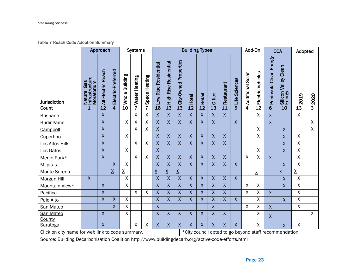### Table 7 Reach Code Adoption Summary

|                                                                                                            | Approach                                           |                           |                         | <b>Systems</b>  |                |                    | <b>Building Types</b>   |                                 |                       |                    |                    |                           |                  | Add-On                  |                     | <b>CCA</b>                |                         | Adopted                        |                    |                |
|------------------------------------------------------------------------------------------------------------|----------------------------------------------------|---------------------------|-------------------------|-----------------|----------------|--------------------|-------------------------|---------------------------------|-----------------------|--------------------|--------------------|---------------------------|------------------|-------------------------|---------------------|---------------------------|-------------------------|--------------------------------|--------------------|----------------|
| <b>Jurisdiction</b>                                                                                        | Natural Gas<br>Infrastructure<br>Moratorium<br>Gas | <b>All-Electric Reach</b> | Electric-Preferred      | Whole Building  | Water Heating  | Space Heating      | Low Rise Residential    | Residential<br><b>High Rise</b> | City-Owned Properties | Hotel              | <b>Retail</b>      | Office                    | Restaurant       | <b>Sciences</b><br>Life | Solar<br>Additional | Electric Vehicles         | Peninsula Clean Energy  | Silicon Valley Clean<br>Energy | 2019               | 2020           |
| Count                                                                                                      | $\mathbf{1}$                                       | 12                        | $\overline{\mathbf{4}}$ | 10              | $\overline{7}$ | $\overline{7}$     | 16                      | $\overline{13}$                 | $\overline{13}$       | $\overline{12}$    | $\overline{12}$    | $\overline{13}$           | $\overline{11}$  | 5                       | 4                   | 12                        | $6\overline{6}$         | 10                             | 13                 | $\mathbf{3}$   |
| <b>Brisbane</b>                                                                                            |                                                    | X                         |                         |                 | $\mathsf{X}$   | X                  | X                       | $\mathsf X$                     | $\mathsf X$           | $\mathsf{X}$       | $\mathsf X$        | $\mathsf{X}$              | $\overline{X}$   |                         |                     | $\mathsf{X}$              | $\overline{X}$          |                                | $\overline{X}$     |                |
| <b>Burlingame</b>                                                                                          |                                                    | X                         |                         | $\sf X$         | $\sf X$        | $\overline{X}$     | X                       | $\overline{X}$                  | $\overline{X}$        | $\overline{X}$     | $\overline{X}$     | $\overline{X}$            |                  | $\overline{X}$          |                     |                           | $\overline{\mathsf{X}}$ |                                |                    | $\mathsf{X}$   |
| Campbell                                                                                                   |                                                    | X                         |                         |                 | $\mathsf{X}$   | $\mathsf{X}$       | X                       |                                 |                       |                    |                    |                           |                  |                         |                     | $\sf X$                   |                         | $\overline{X}$                 |                    | $\mathsf{X}$   |
| Cupertino                                                                                                  |                                                    | X                         |                         | Χ               |                |                    | X                       | $\boldsymbol{X}$                | $\boldsymbol{X}$      | $\mathsf{X}$       | $\boldsymbol{X}$   | $\boldsymbol{\mathsf{X}}$ | $\mathsf{X}$     |                         |                     | $\pmb{\chi}$              |                         | $\mathsf{X}$                   | X                  |                |
| Los Altos Hills                                                                                            |                                                    | $\sf X$                   |                         |                 | $\mathsf X$    | $\pmb{\mathsf{X}}$ | X                       | $\mathsf{X}$                    | $\pmb{\mathsf{X}}$    | $\pmb{\mathsf{X}}$ | $\pmb{\chi}$       | $\mathsf{X}$              | $\boldsymbol{X}$ |                         |                     |                           |                         | $\sf X$                        | X                  |                |
| Los Gatos                                                                                                  |                                                    | X                         |                         | X               |                |                    | $\overline{X}$          |                                 |                       |                    |                    |                           |                  |                         |                     | $\boldsymbol{\mathsf{X}}$ |                         | $\mathsf{X}$                   | $\mathsf{X}$       |                |
| Menlo Park*                                                                                                |                                                    | X                         |                         |                 | $\overline{X}$ | $\overline{X}$     | $\overline{\mathsf{x}}$ | $\overline{X}$                  | $\overline{X}$        | $\overline{X}$     | $\pmb{\mathsf{X}}$ | $\overline{X}$            | $\overline{X}$   |                         | $\sf X$             | $\sf X$                   | $\sf X$                 |                                | $\overline{X}$     |                |
| <b>Milpitas</b>                                                                                            |                                                    |                           | $\sf X$                 | Χ               |                |                    | X                       | $\sf X$                         | $\mathsf{X}$          | $\mathsf{X}$       | $\mathsf{X}$       | $\mathsf X$               | $\sf X$          | $\mathsf{X}$            |                     |                           |                         | $\overline{\mathsf{X}}$        | $\pmb{\mathsf{X}}$ |                |
| Monte Sereno                                                                                               |                                                    |                           | $\underline{X}$         | $\underline{X}$ |                |                    | $\underline{X}$         | $\underline{X}$                 | $\underline{X}$       |                    |                    |                           |                  |                         |                     | $\underline{X}$           |                         | $\underline{X}$                | $\underline{X}$    |                |
| <b>Morgan Hill</b>                                                                                         | $\mathsf{X}$                                       |                           |                         | X               |                |                    | $\pmb{\mathsf{X}}$      | $\sf X$                         | $\pmb{\mathsf{X}}$    | $\mathsf{X}$       | $\mathsf{X}$       | $\mathsf{X}$              | $\mathsf{X}$     | $\overline{X}$          |                     |                           |                         | $\sf X$                        | $\overline{X}$     |                |
| Mountain View*                                                                                             |                                                    | $\mathsf{X}$              |                         | X               |                |                    | X                       | $\sf X$                         | $\mathsf{X}$          | $\mathsf{X}$       | $\sf X$            | $\sf X$                   | $\mathsf{X}$     |                         | $\sf X$             | $\sf X$                   |                         | $\pmb{\mathsf{X}}$             | $\mathsf{X}$       |                |
| Pacifica                                                                                                   |                                                    | $\sf X$                   |                         |                 | $\mathsf{X}$   | $\sf X$            | X                       | $\pmb{\mathsf{X}}$              | $\pmb{\mathsf{X}}$    | $\mathsf X$        | $\pmb{\mathsf{X}}$ | $\mathsf{X}$              | $\mathsf{X}$     |                         | $\sf X$             | $\sf X$                   | $\mathsf{X}$            |                                | $\mathsf X$        |                |
| Palo Alto                                                                                                  |                                                    | X                         | $\sf X$                 | X               |                |                    | X                       | $\sf X$                         | $\mathsf{X}$          | $\mathsf{X}$       | $\sf X$            | $\sf X$                   | $\mathsf{X}$     | $\overline{X}$          |                     | $\sf X$                   |                         | $\overline{X}$                 | X                  |                |
| San Mateo                                                                                                  |                                                    |                           | $\overline{X}$          | X               |                |                    | X                       |                                 |                       |                    |                    | $\overline{X}$            |                  |                         | $\sf X$             | $\sf X$                   | $\mathsf{X}$            |                                | $\mathsf{X}$       |                |
| San Mateo                                                                                                  |                                                    | X                         |                         | X               |                |                    | X                       | $\sf X$                         | $\mathsf{X}$          | $\mathsf{X}$       | $\sf X$            | $\sf X$                   | $\overline{X}$   |                         |                     | $\sf X$                   | $\pmb{\mathsf{X}}$      |                                |                    | $\overline{X}$ |
| County                                                                                                     |                                                    |                           |                         |                 |                |                    |                         |                                 |                       |                    |                    |                           |                  |                         |                     |                           |                         |                                |                    |                |
| Saratoga                                                                                                   |                                                    | X                         |                         |                 | $\sf X$        | X                  | X                       | $\mathsf{X}$                    | $\sf X$               | $\sf X$            | $\sf X$            | $\sf X$                   | $\sf X$          | $\mathsf{X}$            |                     | $\sf X$                   |                         | $\overline{X}$                 | $\sf X$            |                |
| Click on city name for web link to code summary.<br>*City council opted to go beyond staff recommendation. |                                                    |                           |                         |                 |                |                    |                         |                                 |                       |                    |                    |                           |                  |                         |                     |                           |                         |                                |                    |                |

Source: Building Decarbonization Coalition http://www.buildingdecarb.org/active-code-efforts.html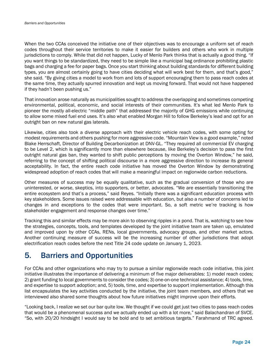When the two CCAs conceived the initiative one of their objectives was to encourage a uniform set of reach codes throughout their service territories to make it easier for builders and others who work in multiple jurisdictions to comply. While that did not happen, Lucky of Menlo Park thinks that is actually a good thing. "If you want things to be standardized, they need to be simple like a municipal bag ordinance prohibiting plastic bags and charging a fee for paper bags. Once you start thinking about building standards for different building types, you are almost certainly going to have cities deciding what will work best for them, and that's good," she said. "By giving cities a model to work from and lots of support encouraging them to pass reach codes at the same time, they actually spurred innovation and kept us moving forward. That would not have happened if they hadn't been pushing us."

That innovation arose naturally as municipalities sought to address the overlapping and sometimes competing environmental, political, economic, and social interests of their communities. It's what led Menlo Park to pioneer the mostly all-electric "middle path" that addressed the majority of GHG emissions while continuing to allow some mixed fuel end uses. It's also what enabled Morgan Hill to follow Berkeley's lead and opt for an outright ban on new natural gas laterals.

Likewise, cities also took a diverse approach with their electric vehicle reach codes, with some opting for modest requirements and others pushing for more aggressive code. "Mountain View is a good example," noted Blake Herrschaft, Director of Building Decarbonization at DNV-GL. "They required all commercial EV charging to be Level 2, which is significantly more than elsewhere because, like Berkeley's decision to pass the first outright natural gas ban, they wanted to shift public perceptions by moving the Overton Window," he said, referring to the concept of shifting political discourse in a more aggressive direction to increase its general acceptability. In fact, the entire reach code initiative has moved the Overton Window by demonstrating widespread adoption of reach codes that will make a meaningful impact on regionwide carbon reductions.

Other measures of success may be equally qualitative, such as the gradual conversion of those who are uninterested, or worse, skeptics, into supporters, or better, advocates. "We are essentially transitioning the entire ecosystem and that's a process," said Reyes. "Initially there was a significant education process with key stakeholders. Some issues raised were addressable with education, but also a number of concerns led to changes in and exceptions to the codes that were important. So, a soft metric we're tracking is how stakeholder engagement and response changes over time."

Tracking this and similar effects may be more akin to observing ripples in a pond. That is, watching to see how the strategies, concepts, tools, and templates developed by the joint initiative team are taken up, emulated and improved upon by other CCAs, RENs, local governments, advocacy groups, and other market actors. Another continuing measure of success will be the increasing number of other jurisdictions that adopt electrification reach codes before the next Title 24 code update on January 1, 2023.

## 5. Barriers and Opportunities

For CCAs and other organizations who may try to pursue a similar regionwide reach code initiative, this joint initiative illustrates the importance of delivering a minimum of five major deliverables: 1) model reach codes; 2) grant funding to local governments to consider the codes; 3) one-on-one technical assistance; 4) tools, time, and expertise to support adoption; and, 5) tools, time, and expertise to support implementation. Although this list encapsulates the key activities conducted by the initiative, the joint team members, and others that we interviewed also shared some thoughts about how future initiatives might improve upon their efforts.

"Looking back, I realize we set our bar quite low. We thought if we could get just two cities to pass reach codes that would be a phenomenal success and we actually ended up with a lot more," said Balachandran of SVCE. "So, with 20/20 hindsight I would say to be bold and to set ambitious targets." Farahmand of TRC agreed.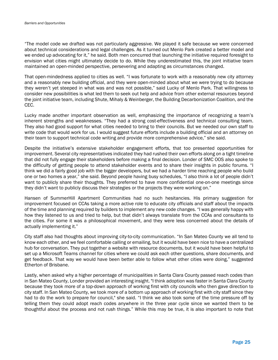"The model code we drafted was not particularly aggressive. We played it safe because we were concerned about technical considerations and legal challenges. As it turned out Menlo Park created a better model and we ended up advocating for it," he said. Both men concurred that launching the initiative required foresight to envision what cities might ultimately decide to do. While they underestimated this, the joint initiative team maintained an open-minded perspective, persevering and adapting as circumstances changed.

That open-mindedness applied to cities as well. "I was fortunate to work with a reasonably new city attorney and a reasonably new building official, and they were open-minded about what we were trying to do because they weren't yet steeped in what was and was not possible," said Lucky of Menlo Park. That willingness to consider new possibilities is what led them to seek out help and advice from other external resources beyond the joint initiative team, including Shute, Mihaly & Weinberger, the Building Decarbonization Coalition, and the CEC.

Lucky made another important observation as well, emphasizing the importance of recognizing a team's inherent strengths and weaknesses. "They had a strong cost-effectiveness and technical consulting team. They also had good support for what cities needed to bring to their councils. But we needed our own staff to write code that would work for us. I would suggest future efforts include a building official and an attorney on their team to support technical code writing and provide more comprehensive advice," she said.

Despite the initiative's extensive stakeholder engagement efforts, that too presented opportunities for improvement. Several city representatives indicated they had rushed their own efforts along on a tight timeline that did not fully engage their stakeholders before making a final decision. Londer of SMC OOS also spoke to the difficulty of getting people to attend stakeholder events and to share their insights in public forums. "I think we did a fairly good job with the bigger developers, but we had a harder time reaching people who build one or two homes a year," she said. Beyond people having busy schedules, "I also think a lot of people didn't want to publicly share their thoughts. They preferred to have more confidential one-on-one meetings since they didn't want to publicly discuss their strategies or the projects they were working on."

Hansen of SummerHill Apartment Communities had no such hesitancies. His primary suggestion for improvement focused on CCAs taking a more active role to educate city officials and staff about the impacts of the time and planning required by builders to implement any new code changes. "I was generally happy with how they listened to us and tried to help, but that didn't always translate from the CCAs and consultants to the cities. For some it was a philosophical movement, and they were less concerned about the details of actually implementing it."

City staff also had thoughts about improving city-to-city communication. "In San Mateo County we all tend to know each other, and we feel comfortable calling or emailing, but it would have been nice to have a centralized hub for conversation. They put together a website with resource documents, but it would have been helpful to set up a Microsoft Teams channel for cities where we could ask each other questions, share documents, and get feedback. That way we would have been better able to follow what other cities were doing," suggested Etherton of Brisbane.

Lastly, when asked why a higher percentage of municipalities in Santa Clara County passed reach codes than in San Mateo County, Londer provided an interesting insight. "I think adoption was faster in Santa Clara County because they took more of a top-down approach of working first with city councils who then gave direction to city staff. In San Mateo County, we took more of a bottom up approach of working first with city staff since they had to do the work to prepare for council," she said. "I think we also took some of the time pressure off by telling them they could adopt reach codes anywhere in the three year cycle since we wanted them to be thoughtful about the process and not rush things." While this may be true, it is also important to note that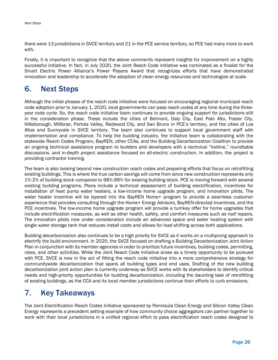there were 13 jurisdictions in SVCE territory and 21 in the PCE service territory, so PCE had many more to work with.

Finally, it is important to recognize that the above comments represent insights for improvement on a highly successful initiative. In fact, in July 2020, the Joint Reach Code initiative was nominated as a finalist for the Smart Electric Power Alliance's Power Players Award that recognizes efforts that have demonstrated innovation and leadership to accelerate the adoption of clean energy resources and technologies at scale.

## 6. Next Steps

Although the initial phases of the reach code initiative were focused on encouraging regional municipal reach code adoption prior to January 1, 2020, local governments can pass reach codes at any time during the threeyear code cycle. So, the reach code initiative team continues to provide ongoing support for jurisdictions still in the consideration phase. These include the cities of Belmont, Daly City, East Palo Alto, Foster City, Hillsborough, Millbrae, Portola Valley, Redwood City, and San Bruno in PCE's territory, and the cities of Los Altos and Sunnyvale in SVCE territory. The team also continues to support local government staff with implementation and compliance. To help the building industry, the initiative team is collaborating with the statewide Reach Codes Program, BayREN, other CCAs, and the Building Decarbonization Coalition to provide an ongoing technical assistance program to builders and developers with a technical "hotline," roundtable discussions, and in-depth project assistance focused on all-electric construction. In addition, the project is providing contractor training.

The team is also looking beyond new construction reach codes and preparing efforts that focus on retrofitting existing buildings. This is where the true carbon savings will come from since new construction represents only 1%-2% of building stock compared to 98%-99% for existing building stock. PCE is moving forward with several existing building programs. Plans include a technical assessment of building electrification, incentives for installation of heat pump water heaters, a low-income home upgrade program, and innovation pilots. The water heater incentive will be layered into the BayREN Home+ program to provide a seamless customer experience that provides consulting through the Home+ Energy Advisors, BayREN-directed incentives, and the PCE incentives. The low-income home upgrade program will provide a turnkey offer for home upgrades that include electrification measures, as well as other health, safety, and comfort measures such as roof repairs. The innovation pilots now under consideration include an advanced space and water heating system with single water storage tank that reduces install costs and allows for load shifting across both applications.

Building decarbonization also continues to be a high priority for SVCE as it works on a multiprong approach to electrify the build environment. In 2020, the SVCE focused on drafting a Building Decarbonization Joint Action Plan in conjunction with its member agencies in order to prioritize future incentives, building codes, permitting, rates, and other activities. While the Joint Reach Code Initiative arose as a timely opportunity to be pursued with PCE, SVCE is now in the act of fitting the reach code initiative into a more comprehensive strategy for communitywide decarbonization that spans all building types and end uses. Drafting of the new building decarbonization joint action plan is currently underway as SVCE works with its stakeholders to identify critical needs and high-priority opportunities for building decarbonization, including the daunting task of retrofitting of existing buildings, as the CCA and its local member jurisdictions continue their efforts to curb emissions.

## 7. Key Takeaways

The Joint Electrification Reach Codes Initiative sponsored by Peninsula Clean Energy and Silicon Valley Clean Energy represents a precedent setting example of how community choice aggregators can partner together to work with their local jurisdictions in a unified regional effort to pass electrification reach codes designed to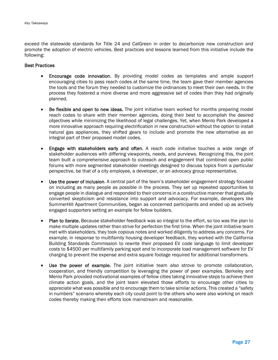exceed the statewide standards for Title 24 and CalGreen in order to decarbonize new construction and promote the adoption of electric vehicles. Best practices and lessons learned from this initiative include the following:

#### Best Practices

- Encourage code innovation. By providing model codes as templates and ample support encouraging cities to pass reach codes at the same time, the team gave their member agencies the tools and the forum they needed to customize the ordinances to meet their own needs. In the process they fostered a more diverse and more aggressive set of codes than they had originally planned.
- Be flexible and open to new ideas. The joint initiative team worked for months preparing model reach codes to share with their member agencies, doing their best to accomplish the desired objectives while minimizing the likelihood of legal challenges. Yet, when Menlo Park developed a more innovative approach requiring electrification in new construction without the option to install natural gas appliances, they shifted gears to include and promote the new alternative as an integral part of their proposed model codes.
- Engage with stakeholders early and often. A reach code initiative touches a wide range of stakeholder audiences with differing viewpoints, needs, and purviews. Recognizing this, the joint team built a comprehensive approach to outreach and engagement that combined open public forums with more segmented stakeholder meetings designed to discuss topics from a particular perspective, be that of a city employee, a developer, or an advocacy group representative.
- Use the power of inclusion. A central part of the team's stakeholder engagement strategy focused on including as many people as possible in the process. They set up repeated opportunities to engage people in dialogue and responded to their concerns in a constructive manner that gradually converted skepticism and resistance into support and advocacy. For example, developers like SummerHill Apartment Communities, began as concerned participants and ended up as actively engaged supporters setting an example for fellow builders.
- Plan to iterate. Because stakeholder feedback was so integral to the effort, so too was the plan to make multiple updates rather than strive for perfection the first time. When the joint initiative team met with stakeholders, they took copious notes and worked diligently to address any concerns. For example, in response to multifamily housing developer feedback, they worked with the California Building Standards Commission to rewrite their proposed EV code language to limit developer costs to \$4500 per multifamily parking spot and to incorporate load management software for EV charging to prevent the expense and extra square footage required for additional transformers.
- Use the power of example. The joint initiative team also strove to promote collaboration, cooperation, and friendly competition by leveraging the power of peer examples. Berkeley and Menlo Park provided motivational examples of fellow cities taking innovative steps to achieve their climate action goals, and the joint team elevated those efforts to encourage other cities to appreciate what was possible and to encourage them to take similar actions. This created a "safety in numbers" scenario whereby each city could point to the others who were also working on reach codes thereby making their efforts look mainstream and reasonable.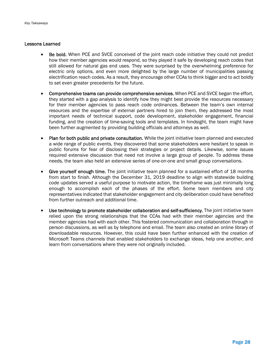#### Lessons Learned

- Be bold. When PCE and SVCE conceived of the joint reach code initiative they could not predict how their member agencies would respond, so they played it safe by developing reach codes that still allowed for natural gas end uses. They were surprised by the overwhelming preference for electric only options, and even more delighted by the large number of municipalities passing electrification reach codes. As a result, they encourage other CCAs to think bigger and to act boldly to set even greater precedents for the future.
- Comprehensive teams can provide comprehensive services. When PCE and SVCE began the effort, they started with a gap analysis to identify how they might best provide the resources necessary for their member agencies to pass reach code ordinances. Between the team's own internal resources and the expertise of external partners hired to join them, they addressed the most important needs of technical support, code development, stakeholder engagement, financial funding, and the creation of time-saving tools and templates. In hindsight, the team might have been further augmented by providing building officials and attorneys as well.
- Plan for both public and private consultation. While the joint initiative team planned and executed a wide range of public events, they discovered that some stakeholders were hesitant to speak in public forums for fear of disclosing their strategies or project details. Likewise, some issues required extensive discussion that need not involve a large group of people. To address these needs, the team also held an extensive series of one-on-one and small group conversations.
- Give yourself enough time. The joint initiative team planned for a sustained effort of 18 months from start to finish. Although the December 31, 2019 deadline to align with statewide building code updates served a useful purpose to motivate action, the timeframe was just minimally long enough to accomplish each of the phases of the effort. Some team members and city representatives indicated that stakeholder engagement and city deliberation could have benefited from further outreach and additional time.
- Use technology to promote stakeholder collaboration and self-sufficiency. The joint initiative team relied upon the strong relationships that the CCAs had with their member agencies and the member agencies had with each other. This fostered communication and collaboration through in person discussions, as well as by telephone and email. The team also created an online library of downloadable resources. However, this could have been further enhanced with the creation of Microsoft Teams channels that enabled stakeholders to exchange ideas, help one another, and learn from conversations where they were not originally included.